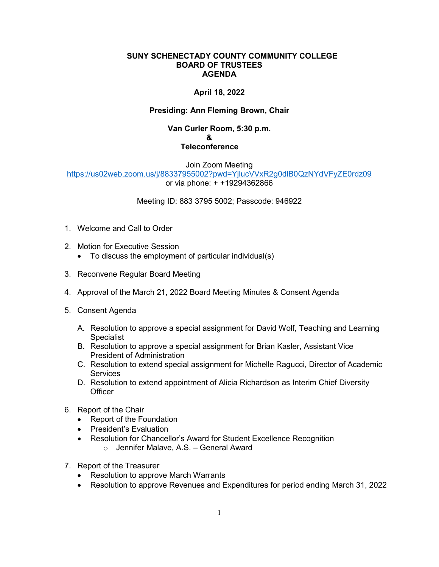#### **SUNY SCHENECTADY COUNTY COMMUNITY COLLEGE BOARD OF TRUSTEES AGENDA**

# **April 18, 2022**

## **Presiding: Ann Fleming Brown, Chair**

### **Van Curler Room, 5:30 p.m. & Teleconference**

Join Zoom Meeting <https://us02web.zoom.us/j/88337955002?pwd=YjlucVVxR2g0dlB0QzNYdVFyZE0rdz09> or via phone: + +19294362866

#### Meeting ID: 883 3795 5002; Passcode: 946922

- 1. Welcome and Call to Order
- 2. Motion for Executive Session
	- To discuss the employment of particular individual(s)
- 3. Reconvene Regular Board Meeting
- 4. Approval of the March 21, 2022 Board Meeting Minutes & Consent Agenda
- 5. Consent Agenda
	- A. Resolution to approve a special assignment for David Wolf, Teaching and Learning **Specialist**
	- B. Resolution to approve a special assignment for Brian Kasler, Assistant Vice President of Administration
	- C. Resolution to extend special assignment for Michelle Ragucci, Director of Academic **Services**
	- D. Resolution to extend appointment of Alicia Richardson as Interim Chief Diversity **Officer**
- 6. Report of the Chair
	- Report of the Foundation
	- President's Evaluation
	- Resolution for Chancellor's Award for Student Excellence Recognition
		- o Jennifer Malave, A.S. General Award
- 7. Report of the Treasurer
	- Resolution to approve March Warrants
	- Resolution to approve Revenues and Expenditures for period ending March 31, 2022